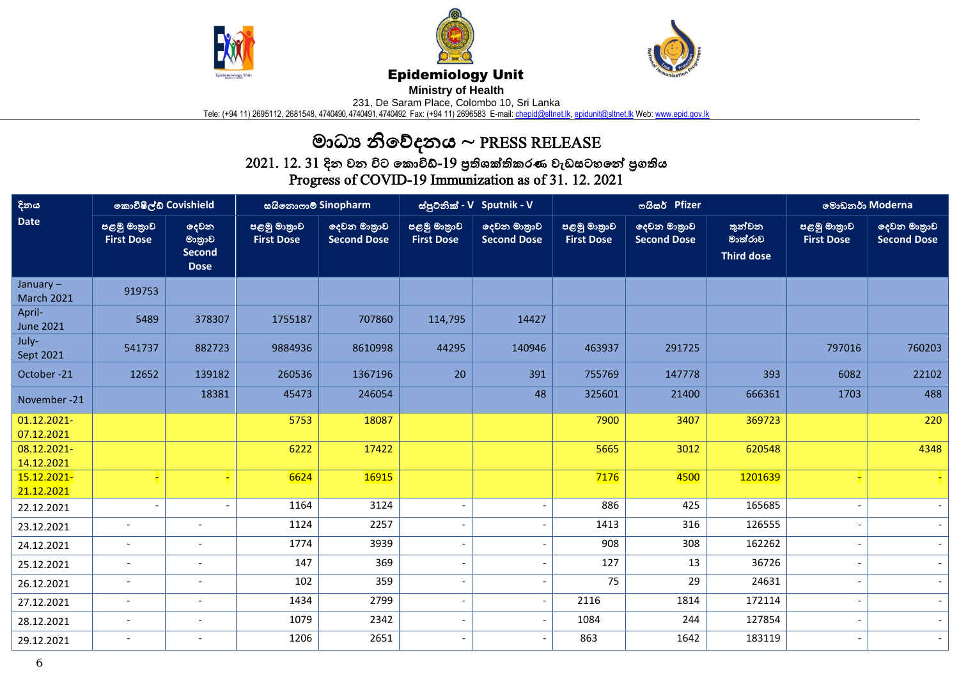





## Epidemiology Unit

**Ministry of Health** 

231, De Saram Place, Colombo 10, Sri Lanka

Tele: (+94 11) 2695112, 2681548, 4740490, 4740491, 4740492 Fax: (+94 11) 2696583 E-mail: <u>chepid@sltnet.lk, [epidunit@sltnet.lk](mailto:epidunit@sltnet.lk)</u> Web: <u>www.epid.gov.lk</u>

## මාධ්ය නිවේදනය ~ PRESS RELEASE

 $2021$ .  $12$ .  $31$  දින වන විට කොවිඩ්- $19$  පුතිශක්තිකරණ වැඩසටහනේ පුගතිය Progress of COVID-19 Immunization as of 31. 12. 2021

| දිනය<br><b>Date</b>              | කොවිෂීල්ඩ් Covishield            |                                                | සයිනොෆාම් Sinopharm              |                                                | ස්පුටනික් - V Sputnik - V        |                                   |                                  | ოයිසර් Pfizer                     | මොඩනර් Moderna                         |                                  |                                   |
|----------------------------------|----------------------------------|------------------------------------------------|----------------------------------|------------------------------------------------|----------------------------------|-----------------------------------|----------------------------------|-----------------------------------|----------------------------------------|----------------------------------|-----------------------------------|
|                                  | පළමු මාතුාව<br><b>First Dose</b> | දෙවන<br>මානුාව<br><b>Second</b><br><b>Dose</b> | පළමු මාතුාව<br><b>First Dose</b> | <mark>ලදවන මාතුාව</mark><br><b>Second Dose</b> | පළමු මාතුාව<br><b>First Dose</b> | ලදවන මාතුාව<br><b>Second Dose</b> | පළමු මාතුාව<br><b>First Dose</b> | දෙවන මාතුාව<br><b>Second Dose</b> | තුන්වන<br>මාත්රාව<br><b>Third dose</b> | පළමු මාතුාව<br><b>First Dose</b> | දෙවන මාතුාව<br><b>Second Dose</b> |
| January $-$<br><b>March 2021</b> | 919753                           |                                                |                                  |                                                |                                  |                                   |                                  |                                   |                                        |                                  |                                   |
| April-<br><b>June 2021</b>       | 5489                             | 378307                                         | 1755187                          | 707860                                         | 114,795                          | 14427                             |                                  |                                   |                                        |                                  |                                   |
| July-<br>Sept 2021               | 541737                           | 882723                                         | 9884936                          | 8610998                                        | 44295                            | 140946                            | 463937                           | 291725                            |                                        | 797016                           | 760203                            |
| October-21                       | 12652                            | 139182                                         | 260536                           | 1367196                                        | 20                               | 391                               | 755769                           | 147778                            | 393                                    | 6082                             | 22102                             |
| November -21                     |                                  | 18381                                          | 45473                            | 246054                                         |                                  | 48                                | 325601                           | 21400                             | 666361                                 | 1703                             | 488                               |
| 01.12.2021-<br>07.12.2021        |                                  |                                                | 5753                             | 18087                                          |                                  |                                   | 7900                             | 3407                              | 369723                                 |                                  | 220                               |
| 08.12.2021-<br>14.12.2021        |                                  |                                                | 6222                             | 17422                                          |                                  |                                   | 5665                             | 3012                              | 620548                                 |                                  | 4348                              |
| 15.12.2021-<br>21.12.2021        |                                  | н                                              | 6624                             | 16915                                          |                                  |                                   | 7176                             | 4500                              | 1201639                                |                                  |                                   |
| 22.12.2021                       |                                  |                                                | 1164                             | 3124                                           |                                  | $\overline{\phantom{a}}$          | 886                              | 425                               | 165685                                 |                                  |                                   |
| 23.12.2021                       |                                  |                                                | 1124                             | 2257                                           |                                  | $\overline{\phantom{0}}$          | 1413                             | 316                               | 126555                                 |                                  |                                   |
| 24.12.2021                       | $\overline{\phantom{a}}$         |                                                | 1774                             | 3939                                           |                                  | $\qquad \qquad \blacksquare$      | 908                              | 308                               | 162262                                 |                                  |                                   |
| 25.12.2021                       | $\blacksquare$                   | $\overline{\phantom{a}}$                       | 147                              | 369                                            | $\overline{\phantom{a}}$         | $\blacksquare$                    | 127                              | 13                                | 36726                                  |                                  |                                   |
| 26.12.2021                       | $\overline{\phantom{a}}$         |                                                | 102                              | 359                                            | $\qquad \qquad \blacksquare$     | $\overline{\phantom{a}}$          | 75                               | 29                                | 24631                                  |                                  |                                   |
| 27.12.2021                       | $\overline{\phantom{a}}$         | $\overline{\phantom{a}}$                       | 1434                             | 2799                                           | $\overline{\phantom{0}}$         | $\overline{\phantom{a}}$          | 2116                             | 1814                              | 172114                                 |                                  | $\sim$                            |
| 28.12.2021                       | $\overline{\phantom{a}}$         | $\overline{\phantom{a}}$                       | 1079                             | 2342                                           | $\qquad \qquad \blacksquare$     | $\overline{\phantom{a}}$          | 1084                             | 244                               | 127854                                 |                                  | $\sim$                            |
| 29.12.2021                       | $\overline{\phantom{a}}$         | $\overline{\phantom{a}}$                       | 1206                             | 2651                                           | $\overline{\phantom{a}}$         | $\overline{\phantom{a}}$          | 863                              | 1642                              | 183119                                 |                                  | $\sim$                            |